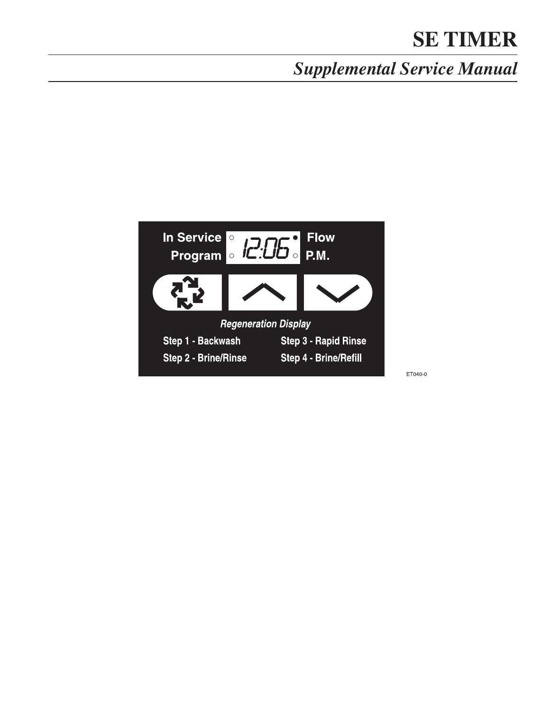# *Supplemental Service Manual*



ET040-0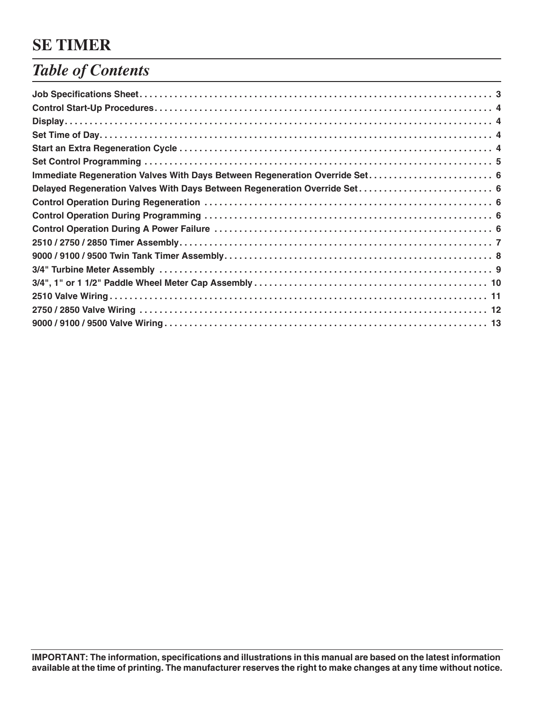## *Table of Contents*

| Immediate Regeneration Valves With Days Between Regeneration Override Set 6 |  |
|-----------------------------------------------------------------------------|--|
|                                                                             |  |
|                                                                             |  |
|                                                                             |  |
|                                                                             |  |
|                                                                             |  |
|                                                                             |  |
|                                                                             |  |
|                                                                             |  |
|                                                                             |  |
|                                                                             |  |
|                                                                             |  |
|                                                                             |  |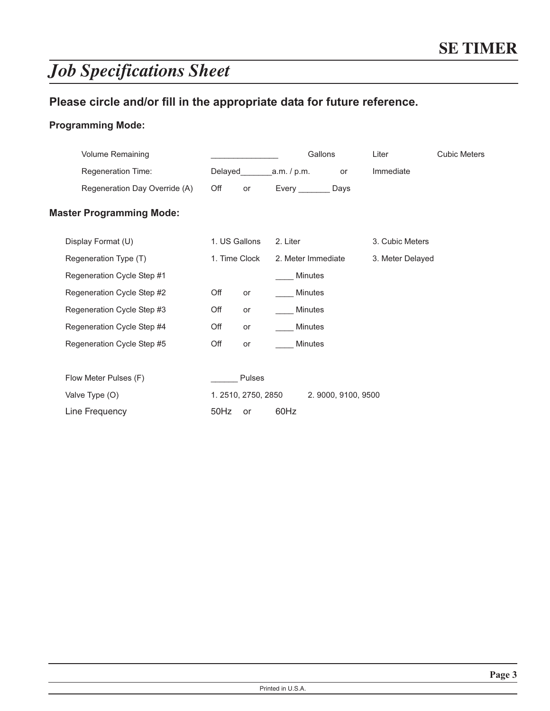# *Job Specifications Sheet*

### Please circle and/or fill in the appropriate data for future reference.

#### Programming Mode:

| <b>Volume Remaining</b>         |      |                    |                    | Gallons        |                     | Liter            | <b>Cubic Meters</b> |
|---------------------------------|------|--------------------|--------------------|----------------|---------------------|------------------|---------------------|
| Regeneration Time:              |      |                    |                    |                | or                  | Immediate        |                     |
| Regeneration Day Override (A)   | Off  | or                 | Every Days         |                |                     |                  |                     |
| <b>Master Programming Mode:</b> |      |                    |                    |                |                     |                  |                     |
| Display Format (U)              |      | 1. US Gallons      | 2. Liter           |                |                     | 3. Cubic Meters  |                     |
| Regeneration Type (T)           |      | 1. Time Clock      | 2. Meter Immediate |                |                     | 3. Meter Delayed |                     |
| Regeneration Cycle Step #1      |      |                    |                    | <b>Minutes</b> |                     |                  |                     |
| Regeneration Cycle Step #2      | Off  | or                 |                    | <b>Minutes</b> |                     |                  |                     |
| Regeneration Cycle Step #3      | Off  | or                 |                    | <b>Minutes</b> |                     |                  |                     |
| Regeneration Cycle Step #4      | Off  | or                 |                    | <b>Minutes</b> |                     |                  |                     |
| Regeneration Cycle Step #5      | Off  | or                 |                    | <b>Minutes</b> |                     |                  |                     |
|                                 |      |                    |                    |                |                     |                  |                     |
| Flow Meter Pulses (F)           |      | Pulses             |                    |                |                     |                  |                     |
| Valve Type (O)                  |      | 1.2510, 2750, 2850 |                    |                | 2. 9000, 9100, 9500 |                  |                     |
| Line Frequency                  | 50Hz | <b>or</b>          | 60Hz               |                |                     |                  |                     |
|                                 |      |                    |                    |                |                     |                  |                     |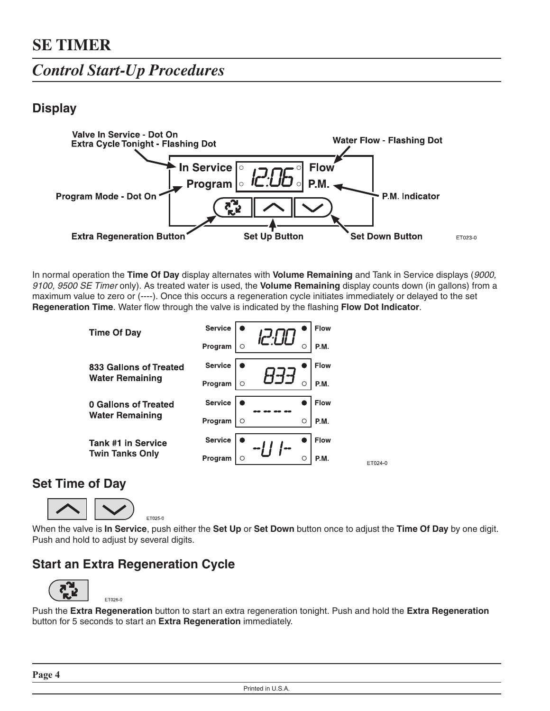### *Control Start-Up Procedures*

### **Display**



In normal operation the **Time Of Day** display alternates with **Volume Remaining** and Tank in Service displays (9000, 9100, 9500 SE Timer only). As treated water is used, the **Volume Remaining** display counts down (in gallons) from a maximum value to zero or (----). Once this occurs a regeneration cycle initiates immediately or delayed to the set **Regeneration Time**. Water flow through the valve is indicated by the flashing **Flow Dot Indicator**.

| <b>Time Of Day</b>        | <b>Service</b> |   | <b>Flow</b> |
|---------------------------|----------------|---|-------------|
|                           | Program        |   | P.M.        |
| 833 Gallons of Treated    | <b>Service</b> |   | <b>Flow</b> |
| <b>Water Remaining</b>    | Program        |   | P.M.        |
| 0 Gallons of Treated      | <b>Service</b> |   | <b>Flow</b> |
| <b>Water Remaining</b>    | Program        | C | P.M.        |
|                           |                |   |             |
| <b>Tank #1 in Service</b> | <b>Service</b> |   | <b>Flow</b> |

#### **Set Time of Day**



ET026-0

When the valve is **In Service**, push either the **Set Up** or **Set Down** button once to adjust the **Time Of Day** by one digit. Push and hold to adjust by several digits.

ET024-0

### **Start an Extra Regeneration Cycle**



Push the **Extra Regeneration** button to start an extra regeneration tonight. Push and hold the **Extra Regeneration** button for 5 seconds to start an **Extra Regeneration** immediately.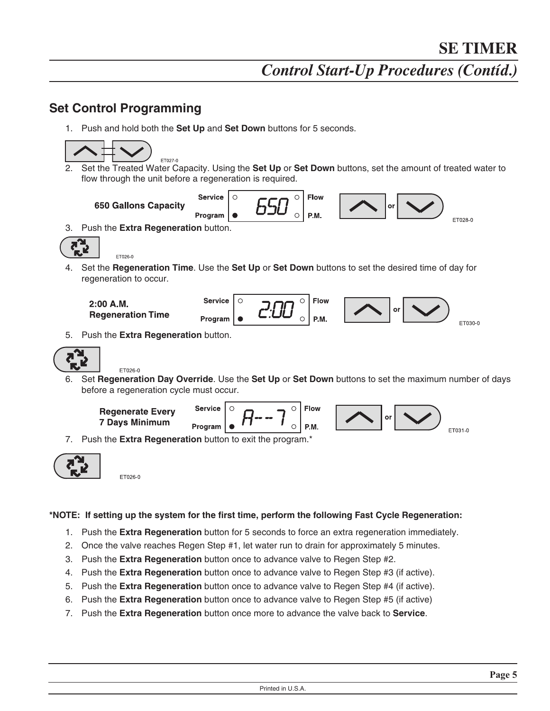#### **Set Control Programming**

1. Push and hold both the **Set Up** and **Set Down** buttons for 5 seconds.





ET026-0

#### **\*NOTE: If setting up the system for the first time, perform the following Fast Cycle Regeneration:**

- 1. Push the **Extra Regeneration** button for 5 seconds to force an extra regeneration immediately.
- 2. Once the valve reaches Regen Step #1, let water run to drain for approximately 5 minutes.
- 3. Push the **Extra Regeneration** button once to advance valve to Regen Step #2.
- 4. Push the **Extra Regeneration** button once to advance valve to Regen Step #3 (if active).
- 5. Push the **Extra Regeneration** button once to advance valve to Regen Step #4 (if active).
- 6. Push the **Extra Regeneration** button once to advance valve to Regen Step #5 (if active)
- 7. Push the **Extra Regeneration** button once more to advance the valve back to **Service**.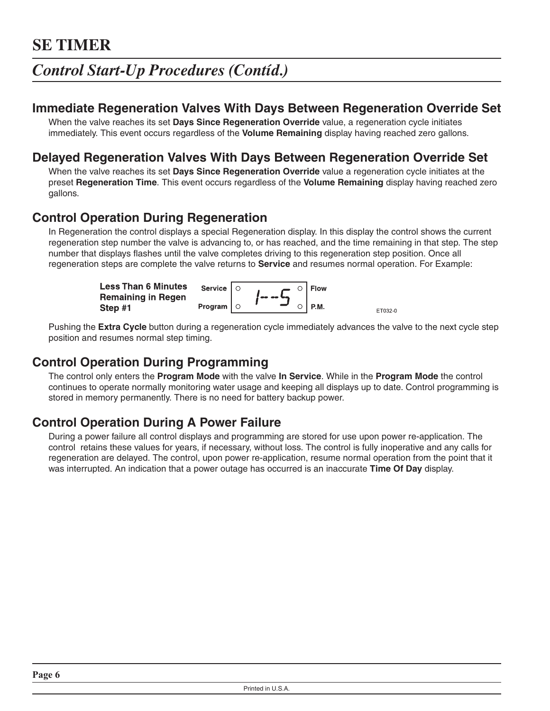### *Control Start-Up Procedures (Contíd.)*

#### **Immediate Regeneration Valves With Days Between Regeneration Override Set**

When the valve reaches its set **Days Since Regeneration Override** value, a regeneration cycle initiates immediately. This event occurs regardless of the **Volume Remaining** display having reached zero gallons.

### **Delayed Regeneration Valves With Days Between Regeneration Override Set**

When the valve reaches its set **Days Since Regeneration Override** value a regeneration cycle initiates at the preset **Regeneration Time**. This event occurs regardless of the **Volume Remaining** display having reached zero gallons.

#### **Control Operation During Regeneration**

In Regeneration the control displays a special Regeneration display. In this display the control shows the current regeneration step number the valve is advancing to, or has reached, and the time remaining in that step. The step number that displays flashes until the valve completes driving to this regeneration step position. Once all regeneration steps are complete the valve returns to **Service** and resumes normal operation. For Example:

| <b>Less Than 6 Minutes</b> | Service $  \circ$ | $\rightarrow$ $\circ$   Flow |        |         |
|----------------------------|-------------------|------------------------------|--------|---------|
| <b>Remaining in Regen</b>  |                   | faa aa lag                   |        |         |
| Step #1                    | Program $  \circ$ |                              | ' P.M. | ET032-0 |

Pushing the **Extra Cycle** button during a regeneration cycle immediately advances the valve to the next cycle step position and resumes normal step timing.

### **Control Operation During Programming**

The control only enters the **Program Mode** with the valve **In Service**. While in the **Program Mode** the control continues to operate normally monitoring water usage and keeping all displays up to date. Control programming is stored in memory permanently. There is no need for battery backup power.

#### **Control Operation During A Power Failure**

During a power failure all control displays and programming are stored for use upon power re-application. The control retains these values for years, if necessary, without loss. The control is fully inoperative and any calls for regeneration are delayed. The control, upon power re-application, resume normal operation from the point that it was interrupted. An indication that a power outage has occurred is an inaccurate **Time Of Day** display.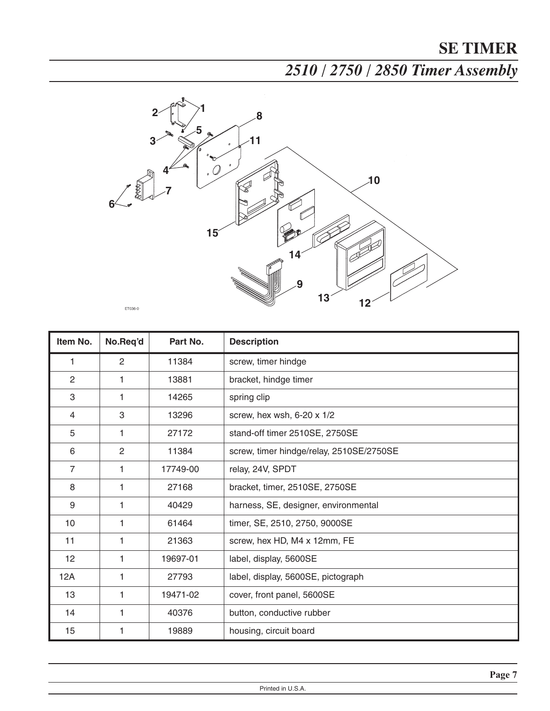*2510 / 2750 / 2850 Timer Assembly*



| Item No.       | No.Req'd       | Part No. | <b>Description</b>                       |  |  |
|----------------|----------------|----------|------------------------------------------|--|--|
| 1              | 2              | 11384    | screw, timer hindge                      |  |  |
| $\overline{2}$ | 1              | 13881    | bracket, hindge timer                    |  |  |
| 3              | 1              | 14265    | spring clip                              |  |  |
| $\overline{4}$ | 3              | 13296    | screw, hex wsh, 6-20 x 1/2               |  |  |
| 5              | 1              | 27172    | stand-off timer 2510SE, 2750SE           |  |  |
| 6              | $\overline{2}$ | 11384    | screw, timer hindge/relay, 2510SE/2750SE |  |  |
| $\overline{7}$ | 1              | 17749-00 | relay, 24V, SPDT                         |  |  |
| 8              | 1              | 27168    | bracket, timer, 2510SE, 2750SE           |  |  |
| 9              | 1              | 40429    | harness, SE, designer, environmental     |  |  |
| 10             | 1              | 61464    | timer, SE, 2510, 2750, 9000SE            |  |  |
| 11             | 1              | 21363    | screw, hex HD, M4 x 12mm, FE             |  |  |
| 12             | 1              | 19697-01 | label, display, 5600SE                   |  |  |
| 12A            | 1              | 27793    | label, display, 5600SE, pictograph       |  |  |
| 13             | 1              | 19471-02 | cover, front panel, 5600SE               |  |  |
| 14             | 1              | 40376    | button, conductive rubber                |  |  |
| 15             | 1              | 19889    | housing, circuit board                   |  |  |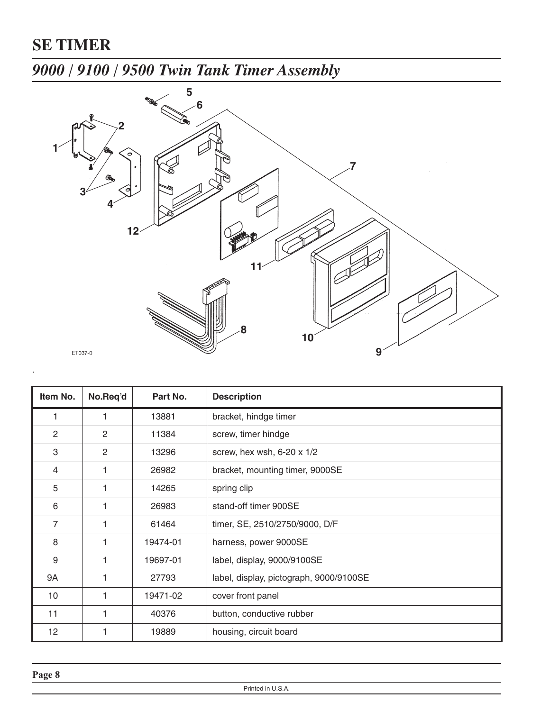## *9000 / 9100 / 9500 Twin Tank Timer Assembly*



| Item No.       | No.Req'd     | Part No. | <b>Description</b>                      |
|----------------|--------------|----------|-----------------------------------------|
|                |              | 13881    | bracket, hindge timer                   |
| $\overline{2}$ | $\mathbf{2}$ | 11384    | screw, timer hindge                     |
| 3              | 2            | 13296    | screw, hex wsh, 6-20 x 1/2              |
| 4              |              | 26982    | bracket, mounting timer, 9000SE         |
| 5              |              | 14265    | spring clip                             |
| 6              |              | 26983    | stand-off timer 900SE                   |
| 7              |              | 61464    | timer, SE, 2510/2750/9000, D/F          |
| 8              |              | 19474-01 | harness, power 9000SE                   |
| 9              |              | 19697-01 | label, display, 9000/9100SE             |
| 9A             |              | 27793    | label, display, pictograph, 9000/9100SE |
| 10             |              | 19471-02 | cover front panel                       |
| 11             |              | 40376    | button, conductive rubber               |
| 12             |              | 19889    | housing, circuit board                  |

.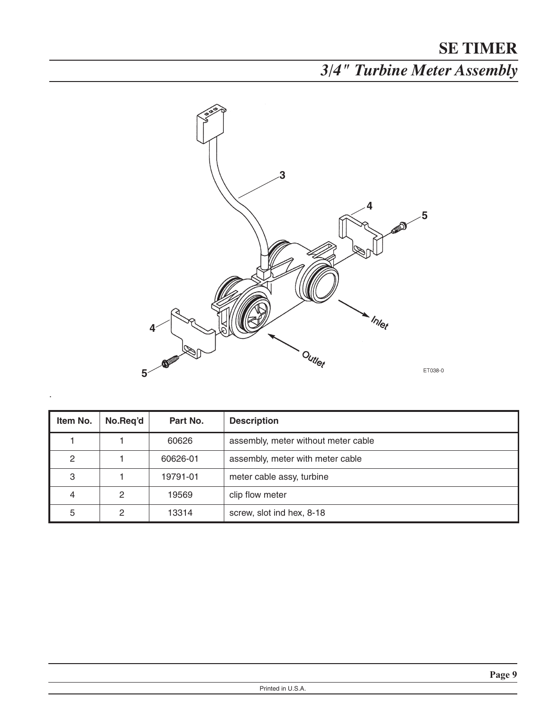*3/4" Turbine Meter Assembly*



| Item No. | No.Reg'd | Part No. | <b>Description</b>                  |
|----------|----------|----------|-------------------------------------|
|          |          | 60626    | assembly, meter without meter cable |
| 2        |          | 60626-01 | assembly, meter with meter cable    |
| 3        |          | 19791-01 | meter cable assy, turbine           |
| 4        | 2        | 19569    | clip flow meter                     |
| 5        | 2        | 13314    | screw, slot ind hex, 8-18           |

.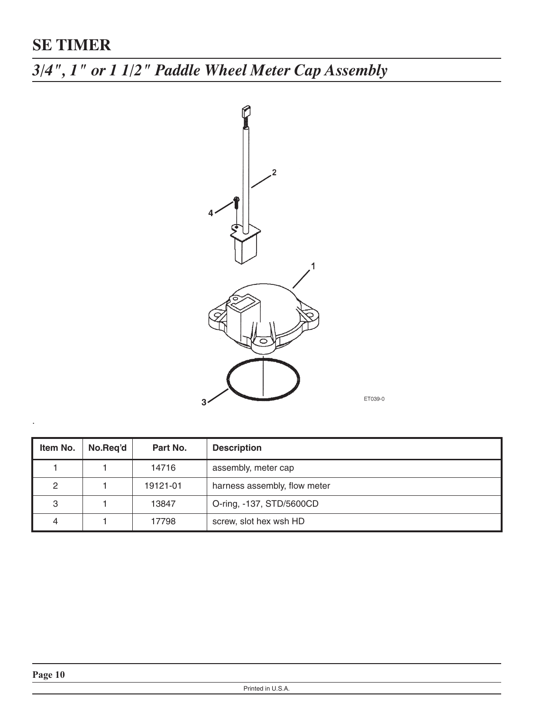*3/4", 1" or 1 1/2" Paddle Wheel Meter Cap Assembly*



ET039-0

| Item No. | No.Reg'd | Part No. | <b>Description</b>           |
|----------|----------|----------|------------------------------|
|          |          | 14716    | assembly, meter cap          |
| 2        |          | 19121-01 | harness assembly, flow meter |
| 3        |          | 13847    | O-ring, -137, STD/5600CD     |
| 4        |          | 17798    | screw, slot hex wsh HD       |

.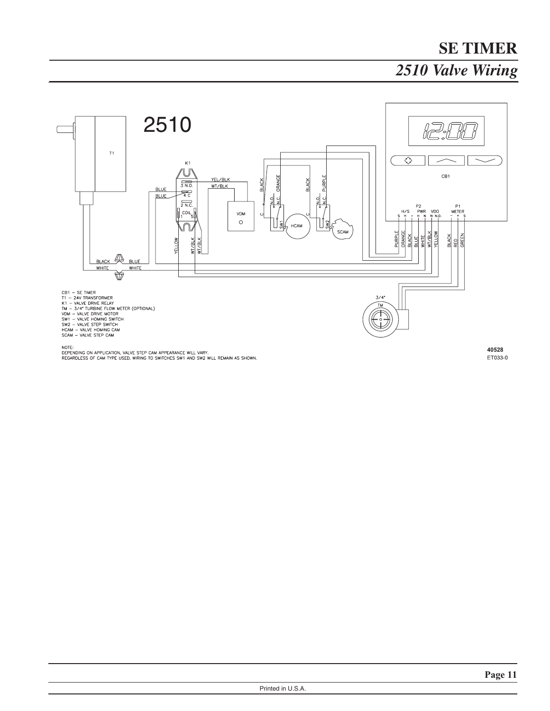# **SE TIMER** *2510 Valve Wiring*



NOTE:<br>DEPENDING ON APPLICATION, VALVE STEP CAM APPEARANCE WILL VARY.<br>REGARDLESS OF CAM TYPE USED, WIRING TO SWITCHES SW1 AND SW2 WILL REMAIN AS SHOWN.

40528ET033-0

Printed in U.S.A.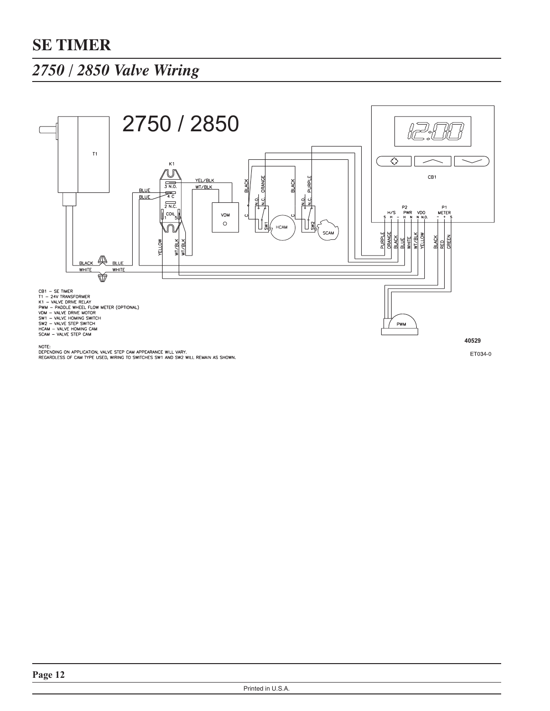### *2750 / 2850 Valve Wiring*

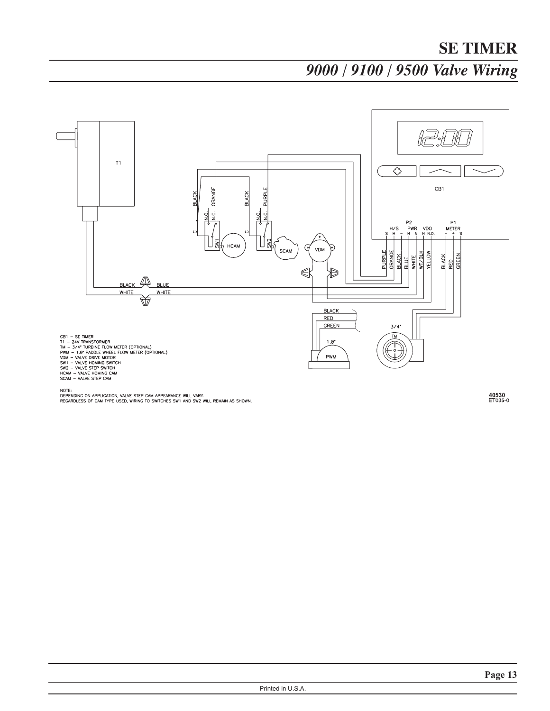*9000 / 9100 / 9500 Valve Wiring*



NOTE:<br>DEPENDING ON APPLICATION, VALVE STEP CAM APPEARANCE WILL VARY.<br>REGARDLESS OF CAM TYPE USED, WIRING TO SWITCHES SW1 AND SW2 WILL REMAIN AS SHOWN.

40530<br>ET035-0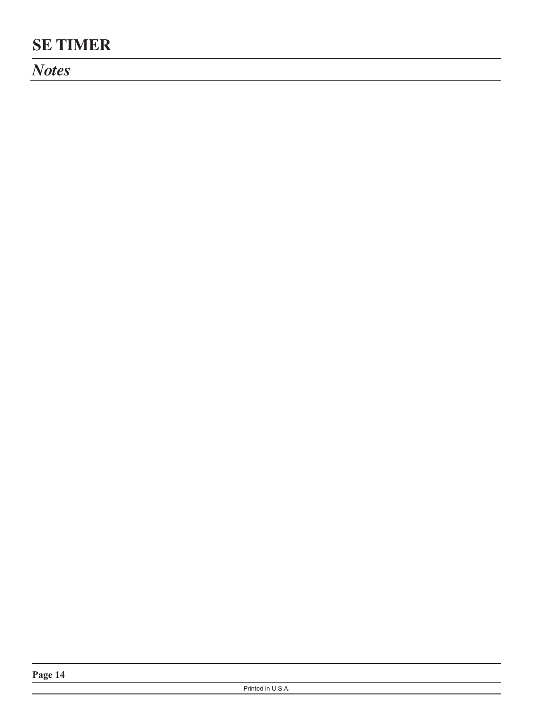*Notes*